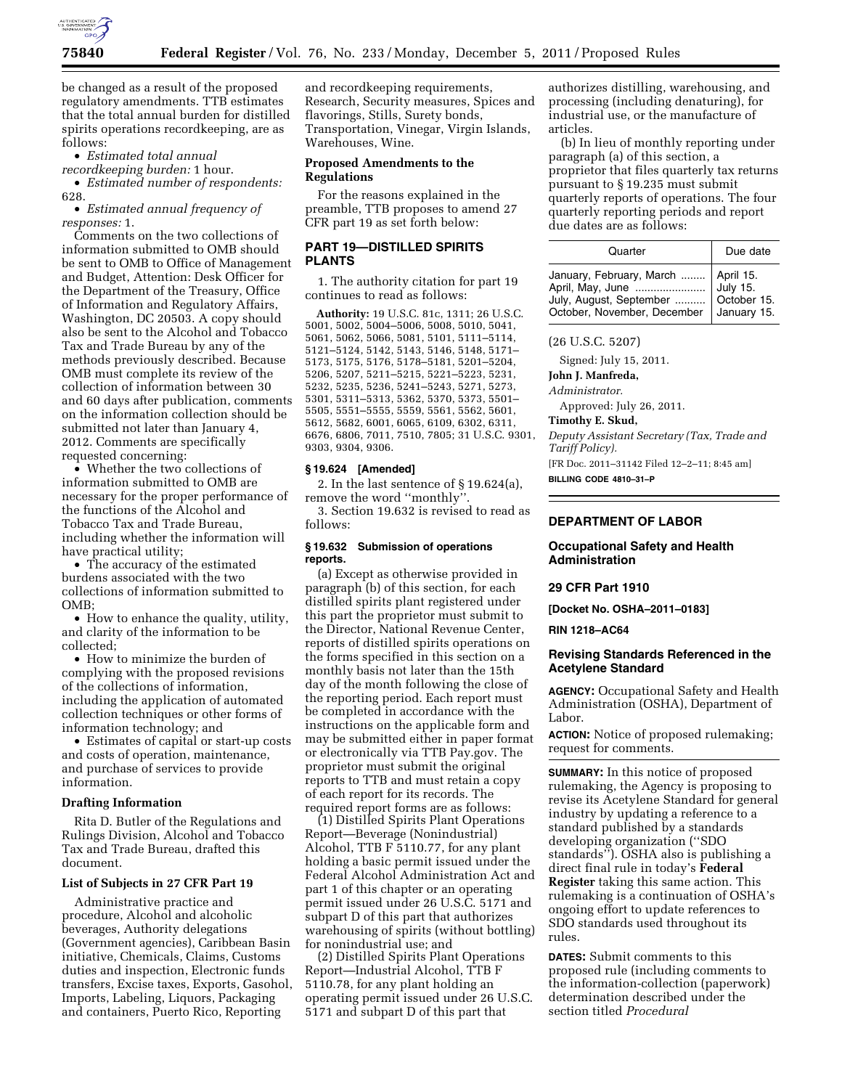

be changed as a result of the proposed regulatory amendments. TTB estimates that the total annual burden for distilled spirits operations recordkeeping, are as follows:

• *Estimated total annual* 

*recordkeeping burden:* 1 hour. • *Estimated number of respondents:*  628.

• *Estimated annual frequency of responses:* 1.

Comments on the two collections of information submitted to OMB should be sent to OMB to Office of Management and Budget, Attention: Desk Officer for the Department of the Treasury, Office of Information and Regulatory Affairs, Washington, DC 20503. A copy should also be sent to the Alcohol and Tobacco Tax and Trade Bureau by any of the methods previously described. Because OMB must complete its review of the collection of information between 30 and 60 days after publication, comments on the information collection should be submitted not later than January 4, 2012. Comments are specifically requested concerning:

• Whether the two collections of information submitted to OMB are necessary for the proper performance of the functions of the Alcohol and Tobacco Tax and Trade Bureau, including whether the information will have practical utility;

• The accuracy of the estimated burdens associated with the two collections of information submitted to OMB;

• How to enhance the quality, utility, and clarity of the information to be collected;

• How to minimize the burden of complying with the proposed revisions of the collections of information, including the application of automated collection techniques or other forms of information technology; and

• Estimates of capital or start-up costs and costs of operation, maintenance, and purchase of services to provide information.

### **Drafting Information**

Rita D. Butler of the Regulations and Rulings Division, Alcohol and Tobacco Tax and Trade Bureau, drafted this document.

# **List of Subjects in 27 CFR Part 19**

Administrative practice and procedure, Alcohol and alcoholic beverages, Authority delegations (Government agencies), Caribbean Basin initiative, Chemicals, Claims, Customs duties and inspection, Electronic funds transfers, Excise taxes, Exports, Gasohol, Imports, Labeling, Liquors, Packaging and containers, Puerto Rico, Reporting

and recordkeeping requirements, Research, Security measures, Spices and flavorings, Stills, Surety bonds, Transportation, Vinegar, Virgin Islands, Warehouses, Wine.

# **Proposed Amendments to the Regulations**

For the reasons explained in the preamble, TTB proposes to amend 27 CFR part 19 as set forth below:

# **PART 19—DISTILLED SPIRITS PLANTS**

1. The authority citation for part 19 continues to read as follows:

**Authority:** 19 U.S.C. 81c, 1311; 26 U.S.C. 5001, 5002, 5004–5006, 5008, 5010, 5041, 5061, 5062, 5066, 5081, 5101, 5111–5114, 5121–5124, 5142, 5143, 5146, 5148, 5171– 5173, 5175, 5176, 5178–5181, 5201–5204, 5206, 5207, 5211–5215, 5221–5223, 5231, 5232, 5235, 5236, 5241–5243, 5271, 5273, 5301, 5311–5313, 5362, 5370, 5373, 5501– 5505, 5551–5555, 5559, 5561, 5562, 5601, 5612, 5682, 6001, 6065, 6109, 6302, 6311, 6676, 6806, 7011, 7510, 7805; 31 U.S.C. 9301, 9303, 9304, 9306.

#### **§ 19.624 [Amended]**

2. In the last sentence of § 19.624(a), remove the word ''monthly''.

3. Section 19.632 is revised to read as follows:

#### **§ 19.632 Submission of operations reports.**

(a) Except as otherwise provided in paragraph (b) of this section, for each distilled spirits plant registered under this part the proprietor must submit to the Director, National Revenue Center, reports of distilled spirits operations on the forms specified in this section on a monthly basis not later than the 15th day of the month following the close of the reporting period. Each report must be completed in accordance with the instructions on the applicable form and may be submitted either in paper format or electronically via TTB Pay.gov. The proprietor must submit the original reports to TTB and must retain a copy of each report for its records. The required report forms are as follows:

(1) Distilled Spirits Plant Operations Report—Beverage (Nonindustrial) Alcohol, TTB F 5110.77, for any plant holding a basic permit issued under the Federal Alcohol Administration Act and part 1 of this chapter or an operating permit issued under 26 U.S.C. 5171 and subpart D of this part that authorizes warehousing of spirits (without bottling) for nonindustrial use; and

(2) Distilled Spirits Plant Operations Report—Industrial Alcohol, TTB F 5110.78, for any plant holding an operating permit issued under 26 U.S.C. 5171 and subpart D of this part that

authorizes distilling, warehousing, and processing (including denaturing), for industrial use, or the manufacture of articles.

(b) In lieu of monthly reporting under paragraph (a) of this section, a proprietor that files quarterly tax returns pursuant to § 19.235 must submit quarterly reports of operations. The four quarterly reporting periods and report due dates are as follows:

| Quarter                     | Due date    |
|-----------------------------|-------------|
| January, February, March    | April 15.   |
| April, May, June            | July 15.    |
| July, August, September     | October 15. |
| October, November, December | January 15. |

(26 U.S.C. 5207)

Signed: July 15, 2011.

**John J. Manfreda,** 

*Administrator.* 

Approved: July 26, 2011.

**Timothy E. Skud,** 

*Deputy Assistant Secretary (Tax, Trade and Tariff Policy).* 

[FR Doc. 2011–31142 Filed 12–2–11; 8:45 am]

**BILLING CODE 4810–31–P** 

#### **DEPARTMENT OF LABOR**

#### **Occupational Safety and Health Administration**

# **29 CFR Part 1910**

**[Docket No. OSHA–2011–0183]** 

**RIN 1218–AC64** 

#### **Revising Standards Referenced in the Acetylene Standard**

**AGENCY:** Occupational Safety and Health Administration (OSHA), Department of Labor.

**ACTION:** Notice of proposed rulemaking; request for comments.

**SUMMARY:** In this notice of proposed rulemaking, the Agency is proposing to revise its Acetylene Standard for general industry by updating a reference to a standard published by a standards developing organization (''SDO standards''). OSHA also is publishing a direct final rule in today's **Federal Register** taking this same action. This rulemaking is a continuation of OSHA's ongoing effort to update references to SDO standards used throughout its rules.

**DATES:** Submit comments to this proposed rule (including comments to the information-collection (paperwork) determination described under the section titled *Procedural*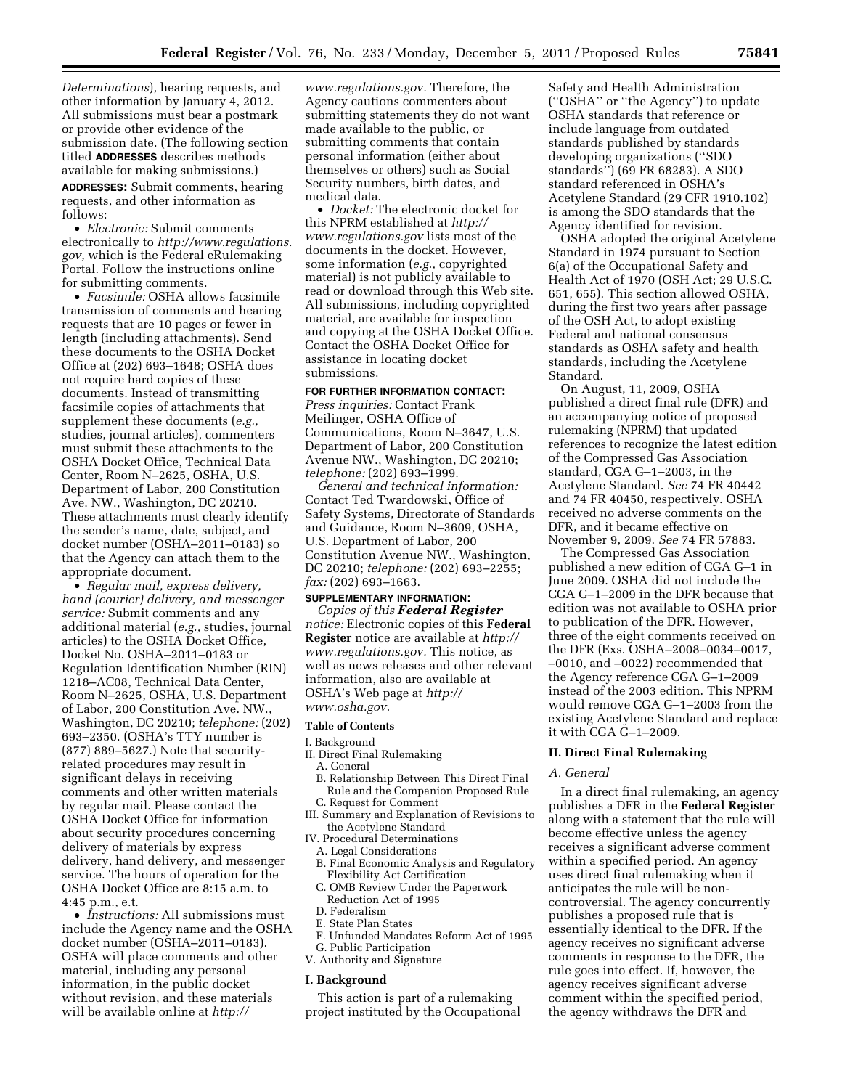*Determinations*), hearing requests, and other information by January 4, 2012. All submissions must bear a postmark or provide other evidence of the submission date. (The following section titled **ADDRESSES** describes methods available for making submissions.)

**ADDRESSES:** Submit comments, hearing requests, and other information as follows:

• *Electronic:* Submit comments electronically to *[http://www.regulations.](http://www.regulations.gov) [gov,](http://www.regulations.gov)* which is the Federal eRulemaking Portal. Follow the instructions online for submitting comments.

• *Facsimile:* OSHA allows facsimile transmission of comments and hearing requests that are 10 pages or fewer in length (including attachments). Send these documents to the OSHA Docket Office at (202) 693–1648; OSHA does not require hard copies of these documents. Instead of transmitting facsimile copies of attachments that supplement these documents (*e.g.,*  studies, journal articles), commenters must submit these attachments to the OSHA Docket Office, Technical Data Center, Room N–2625, OSHA, U.S. Department of Labor, 200 Constitution Ave. NW., Washington, DC 20210. These attachments must clearly identify the sender's name, date, subject, and docket number (OSHA–2011–0183) so that the Agency can attach them to the appropriate document.

• *Regular mail, express delivery, hand (courier) delivery, and messenger service:* Submit comments and any additional material (*e.g.,* studies, journal articles) to the OSHA Docket Office, Docket No. OSHA–2011–0183 or Regulation Identification Number (RIN) 1218–AC08, Technical Data Center, Room N–2625, OSHA, U.S. Department of Labor, 200 Constitution Ave. NW., Washington, DC 20210; *telephone:* (202) 693–2350. (OSHA's TTY number is (877) 889–5627.) Note that securityrelated procedures may result in significant delays in receiving comments and other written materials by regular mail. Please contact the OSHA Docket Office for information about security procedures concerning delivery of materials by express delivery, hand delivery, and messenger service. The hours of operation for the OSHA Docket Office are 8:15 a.m. to 4:45 p.m., e.t.

• *Instructions:* All submissions must include the Agency name and the OSHA docket number (OSHA–2011–0183). OSHA will place comments and other material, including any personal information, in the public docket without revision, and these materials will be available online at *[http://](http://www.regulations.gov)* 

*[www.regulations.gov.](http://www.regulations.gov)* Therefore, the Agency cautions commenters about submitting statements they do not want made available to the public, or submitting comments that contain personal information (either about themselves or others) such as Social Security numbers, birth dates, and medical data.

• *Docket:* The electronic docket for this NPRM established at *[http://](http://www.regulations.gov)  [www.regulations.gov](http://www.regulations.gov)* lists most of the documents in the docket. However, some information (*e.g.,* copyrighted material) is not publicly available to read or download through this Web site. All submissions, including copyrighted material, are available for inspection and copying at the OSHA Docket Office. Contact the OSHA Docket Office for assistance in locating docket submissions.

#### **FOR FURTHER INFORMATION CONTACT:**

*Press inquiries:* Contact Frank Meilinger, OSHA Office of Communications, Room N–3647, U.S. Department of Labor, 200 Constitution Avenue NW., Washington, DC 20210; *telephone:* (202) 693–1999.

*General and technical information:*  Contact Ted Twardowski, Office of Safety Systems, Directorate of Standards and Guidance, Room N–3609, OSHA, U.S. Department of Labor, 200 Constitution Avenue NW., Washington, DC 20210; *telephone:* (202) 693–2255; *fax:* (202) 693–1663.

# **SUPPLEMENTARY INFORMATION:**

*Copies of this Federal Register notice:* Electronic copies of this **Federal Register** notice are available at *[http://](http://www.regulations.gov) [www.regulations.gov.](http://www.regulations.gov)* This notice, as well as news releases and other relevant information, also are available at OSHA's Web page at *[http://](http://www.osha.gov) [www.osha.gov.](http://www.osha.gov)* 

# **Table of Contents**

I. Background

- II. Direct Final Rulemaking
	- A. General
	- B. Relationship Between This Direct Final Rule and the Companion Proposed Rule C. Request for Comment
- III. Summary and Explanation of Revisions to the Acetylene Standard
- IV. Procedural Determinations

#### A. Legal Considerations

- B. Final Economic Analysis and Regulatory Flexibility Act Certification
- C. OMB Review Under the Paperwork Reduction Act of 1995
- D. Federalism
- E. State Plan States
- F. Unfunded Mandates Reform Act of 1995
- G. Public Participation V. Authority and Signature

# **I. Background**

This action is part of a rulemaking project instituted by the Occupational

Safety and Health Administration (''OSHA'' or ''the Agency'') to update OSHA standards that reference or include language from outdated standards published by standards developing organizations (''SDO standards'') (69 FR 68283). A SDO standard referenced in OSHA's Acetylene Standard (29 CFR 1910.102) is among the SDO standards that the Agency identified for revision.

OSHA adopted the original Acetylene Standard in 1974 pursuant to Section 6(a) of the Occupational Safety and Health Act of 1970 (OSH Act; 29 U.S.C. 651, 655). This section allowed OSHA, during the first two years after passage of the OSH Act, to adopt existing Federal and national consensus standards as OSHA safety and health standards, including the Acetylene Standard.

On August, 11, 2009, OSHA published a direct final rule (DFR) and an accompanying notice of proposed rulemaking (NPRM) that updated references to recognize the latest edition of the Compressed Gas Association standard, CGA G–1–2003, in the Acetylene Standard. *See* 74 FR 40442 and 74 FR 40450, respectively. OSHA received no adverse comments on the DFR, and it became effective on November 9, 2009. *See* 74 FR 57883.

The Compressed Gas Association published a new edition of CGA G–1 in June 2009. OSHA did not include the CGA G–1–2009 in the DFR because that edition was not available to OSHA prior to publication of the DFR. However, three of the eight comments received on the DFR (Exs. OSHA–2008–0034–0017, –0010, and –0022) recommended that the Agency reference CGA G–1–2009 instead of the 2003 edition. This NPRM would remove CGA G–1–2003 from the existing Acetylene Standard and replace it with CGA G–1–2009.

#### **II. Direct Final Rulemaking**

#### *A. General*

In a direct final rulemaking, an agency publishes a DFR in the **Federal Register**  along with a statement that the rule will become effective unless the agency receives a significant adverse comment within a specified period. An agency uses direct final rulemaking when it anticipates the rule will be noncontroversial. The agency concurrently publishes a proposed rule that is essentially identical to the DFR. If the agency receives no significant adverse comments in response to the DFR, the rule goes into effect. If, however, the agency receives significant adverse comment within the specified period, the agency withdraws the DFR and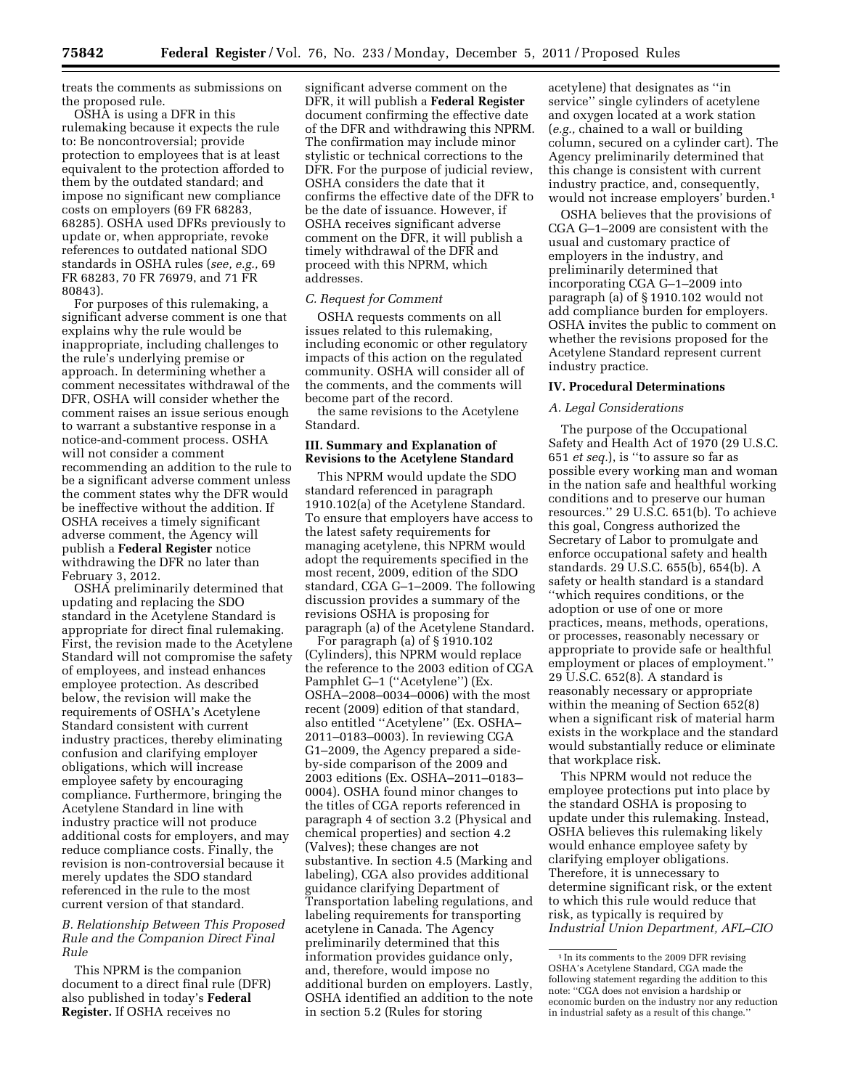treats the comments as submissions on the proposed rule.

OSHA is using a DFR in this rulemaking because it expects the rule to: Be noncontroversial; provide protection to employees that is at least equivalent to the protection afforded to them by the outdated standard; and impose no significant new compliance costs on employers (69 FR 68283, 68285). OSHA used DFRs previously to update or, when appropriate, revoke references to outdated national SDO standards in OSHA rules (*see, e.g.,* 69 FR 68283, 70 FR 76979, and 71 FR 80843).

For purposes of this rulemaking, a significant adverse comment is one that explains why the rule would be inappropriate, including challenges to the rule's underlying premise or approach. In determining whether a comment necessitates withdrawal of the DFR, OSHA will consider whether the comment raises an issue serious enough to warrant a substantive response in a notice-and-comment process. OSHA will not consider a comment recommending an addition to the rule to be a significant adverse comment unless the comment states why the DFR would be ineffective without the addition. If OSHA receives a timely significant adverse comment, the Agency will publish a **Federal Register** notice withdrawing the DFR no later than February 3, 2012.

OSHA preliminarily determined that updating and replacing the SDO standard in the Acetylene Standard is appropriate for direct final rulemaking. First, the revision made to the Acetylene Standard will not compromise the safety of employees, and instead enhances employee protection. As described below, the revision will make the requirements of OSHA's Acetylene Standard consistent with current industry practices, thereby eliminating confusion and clarifying employer obligations, which will increase employee safety by encouraging compliance. Furthermore, bringing the Acetylene Standard in line with industry practice will not produce additional costs for employers, and may reduce compliance costs. Finally, the revision is non-controversial because it merely updates the SDO standard referenced in the rule to the most current version of that standard.

# *B. Relationship Between This Proposed Rule and the Companion Direct Final Rule*

This NPRM is the companion document to a direct final rule (DFR) also published in today's **Federal Register.** If OSHA receives no

significant adverse comment on the DFR, it will publish a **Federal Register**  document confirming the effective date of the DFR and withdrawing this NPRM. The confirmation may include minor stylistic or technical corrections to the DFR. For the purpose of judicial review, OSHA considers the date that it confirms the effective date of the DFR to be the date of issuance. However, if OSHA receives significant adverse comment on the DFR, it will publish a timely withdrawal of the DFR and proceed with this NPRM, which addresses.

# *C. Request for Comment*

OSHA requests comments on all issues related to this rulemaking, including economic or other regulatory impacts of this action on the regulated community. OSHA will consider all of the comments, and the comments will become part of the record.

the same revisions to the Acetylene Standard.

# **III. Summary and Explanation of Revisions to the Acetylene Standard**

This NPRM would update the SDO standard referenced in paragraph 1910.102(a) of the Acetylene Standard. To ensure that employers have access to the latest safety requirements for managing acetylene, this NPRM would adopt the requirements specified in the most recent, 2009, edition of the SDO standard, CGA G–1–2009. The following discussion provides a summary of the revisions OSHA is proposing for paragraph (a) of the Acetylene Standard.

For paragraph (a) of § 1910.102 (Cylinders), this NPRM would replace the reference to the 2003 edition of CGA Pamphlet G–1 (''Acetylene'') (Ex. OSHA–2008–0034–0006) with the most recent (2009) edition of that standard, also entitled ''Acetylene'' (Ex. OSHA– 2011–0183–0003). In reviewing CGA G1–2009, the Agency prepared a sideby-side comparison of the 2009 and 2003 editions (Ex. OSHA–2011–0183– 0004). OSHA found minor changes to the titles of CGA reports referenced in paragraph 4 of section 3.2 (Physical and chemical properties) and section 4.2 (Valves); these changes are not substantive. In section 4.5 (Marking and labeling), CGA also provides additional guidance clarifying Department of Transportation labeling regulations, and labeling requirements for transporting acetylene in Canada. The Agency preliminarily determined that this information provides guidance only, and, therefore, would impose no additional burden on employers. Lastly, OSHA identified an addition to the note in section 5.2 (Rules for storing

acetylene) that designates as ''in service'' single cylinders of acetylene and oxygen located at a work station (*e.g.,* chained to a wall or building column, secured on a cylinder cart). The Agency preliminarily determined that this change is consistent with current industry practice, and, consequently, would not increase employers' burden.1

OSHA believes that the provisions of CGA G–1–2009 are consistent with the usual and customary practice of employers in the industry, and preliminarily determined that incorporating CGA G–1–2009 into paragraph (a) of § 1910.102 would not add compliance burden for employers. OSHA invites the public to comment on whether the revisions proposed for the Acetylene Standard represent current industry practice.

#### **IV. Procedural Determinations**

#### *A. Legal Considerations*

The purpose of the Occupational Safety and Health Act of 1970 (29 U.S.C. 651 *et seq.*), is ''to assure so far as possible every working man and woman in the nation safe and healthful working conditions and to preserve our human resources.'' 29 U.S.C. 651(b). To achieve this goal, Congress authorized the Secretary of Labor to promulgate and enforce occupational safety and health standards. 29 U.S.C. 655(b), 654(b). A safety or health standard is a standard ''which requires conditions, or the adoption or use of one or more practices, means, methods, operations, or processes, reasonably necessary or appropriate to provide safe or healthful employment or places of employment.'' 29 U.S.C. 652(8). A standard is reasonably necessary or appropriate within the meaning of Section 652(8) when a significant risk of material harm exists in the workplace and the standard would substantially reduce or eliminate that workplace risk.

This NPRM would not reduce the employee protections put into place by the standard OSHA is proposing to update under this rulemaking. Instead, OSHA believes this rulemaking likely would enhance employee safety by clarifying employer obligations. Therefore, it is unnecessary to determine significant risk, or the extent to which this rule would reduce that risk, as typically is required by *Industrial Union Department, AFL–CIO* 

<sup>&</sup>lt;sup>1</sup> In its comments to the 2009 DFR revising OSHA's Acetylene Standard, CGA made the following statement regarding the addition to this note: ''CGA does not envision a hardship or economic burden on the industry nor any reduction in industrial safety as a result of this change.''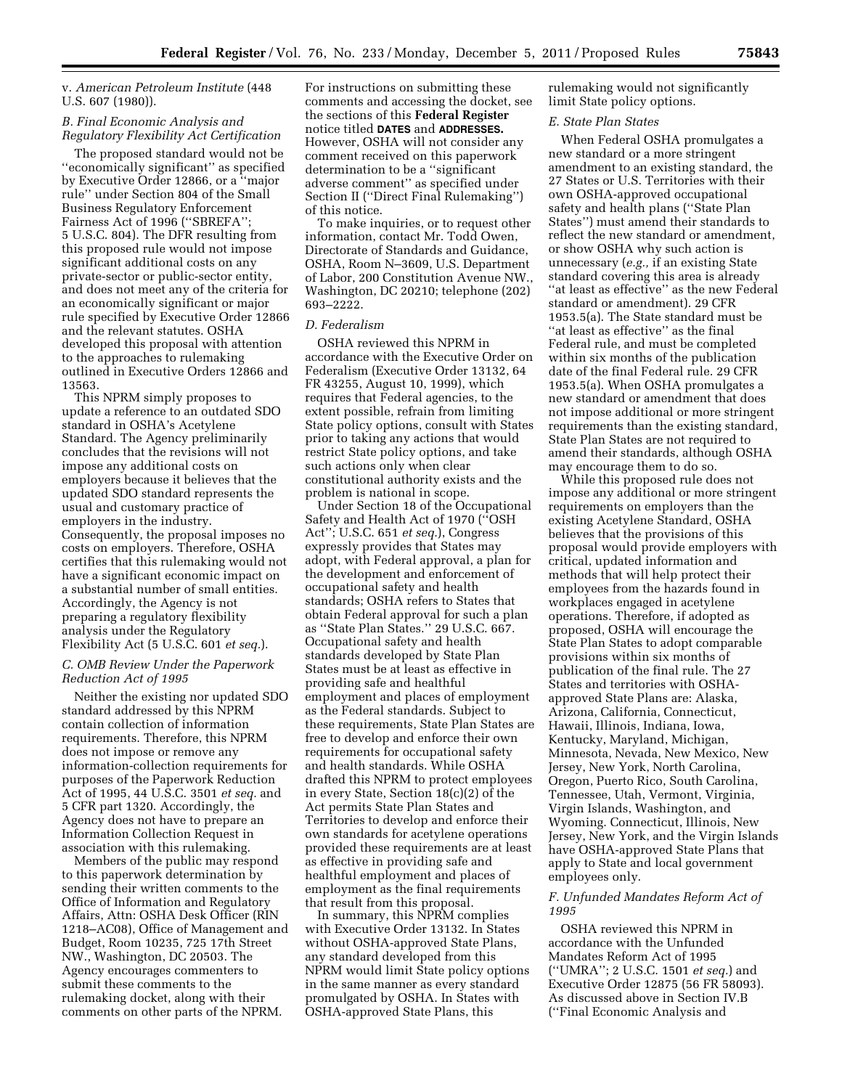# v. *American Petroleum Institute* (448 U.S. 607 (1980)).

#### *B. Final Economic Analysis and Regulatory Flexibility Act Certification*

The proposed standard would not be ''economically significant'' as specified by Executive Order 12866, or a ''major rule'' under Section 804 of the Small Business Regulatory Enforcement Fairness Act of 1996 (''SBREFA''; 5 U.S.C. 804). The DFR resulting from this proposed rule would not impose significant additional costs on any private-sector or public-sector entity, and does not meet any of the criteria for an economically significant or major rule specified by Executive Order 12866 and the relevant statutes. OSHA developed this proposal with attention to the approaches to rulemaking outlined in Executive Orders 12866 and 13563.

This NPRM simply proposes to update a reference to an outdated SDO standard in OSHA's Acetylene Standard. The Agency preliminarily concludes that the revisions will not impose any additional costs on employers because it believes that the updated SDO standard represents the usual and customary practice of employers in the industry. Consequently, the proposal imposes no costs on employers. Therefore, OSHA certifies that this rulemaking would not have a significant economic impact on a substantial number of small entities. Accordingly, the Agency is not preparing a regulatory flexibility analysis under the Regulatory Flexibility Act (5 U.S.C. 601 *et seq.*).

### *C. OMB Review Under the Paperwork Reduction Act of 1995*

Neither the existing nor updated SDO standard addressed by this NPRM contain collection of information requirements. Therefore, this NPRM does not impose or remove any information-collection requirements for purposes of the Paperwork Reduction Act of 1995, 44 U.S.C. 3501 *et seq.* and 5 CFR part 1320. Accordingly, the Agency does not have to prepare an Information Collection Request in association with this rulemaking.

Members of the public may respond to this paperwork determination by sending their written comments to the Office of Information and Regulatory Affairs, Attn: OSHA Desk Officer (RIN 1218–AC08), Office of Management and Budget, Room 10235, 725 17th Street NW., Washington, DC 20503. The Agency encourages commenters to submit these comments to the rulemaking docket, along with their comments on other parts of the NPRM.

For instructions on submitting these comments and accessing the docket, see the sections of this **Federal Register**  notice titled **DATES** and **ADDRESSES.**  However, OSHA will not consider any comment received on this paperwork determination to be a ''significant adverse comment'' as specified under Section II (''Direct Final Rulemaking'') of this notice.

To make inquiries, or to request other information, contact Mr. Todd Owen, Directorate of Standards and Guidance, OSHA, Room N–3609, U.S. Department of Labor, 200 Constitution Avenue NW., Washington, DC 20210; telephone (202) 693–2222.

#### *D. Federalism*

OSHA reviewed this NPRM in accordance with the Executive Order on Federalism (Executive Order 13132, 64 FR 43255, August 10, 1999), which requires that Federal agencies, to the extent possible, refrain from limiting State policy options, consult with States prior to taking any actions that would restrict State policy options, and take such actions only when clear constitutional authority exists and the problem is national in scope.

Under Section 18 of the Occupational Safety and Health Act of 1970 (''OSH Act''; U.S.C. 651 *et seq.*), Congress expressly provides that States may adopt, with Federal approval, a plan for the development and enforcement of occupational safety and health standards; OSHA refers to States that obtain Federal approval for such a plan as ''State Plan States.'' 29 U.S.C. 667. Occupational safety and health standards developed by State Plan States must be at least as effective in providing safe and healthful employment and places of employment as the Federal standards. Subject to these requirements, State Plan States are free to develop and enforce their own requirements for occupational safety and health standards. While OSHA drafted this NPRM to protect employees in every State, Section 18(c)(2) of the Act permits State Plan States and Territories to develop and enforce their own standards for acetylene operations provided these requirements are at least as effective in providing safe and healthful employment and places of employment as the final requirements that result from this proposal.

In summary, this NPRM complies with Executive Order 13132. In States without OSHA-approved State Plans, any standard developed from this NPRM would limit State policy options in the same manner as every standard promulgated by OSHA. In States with OSHA-approved State Plans, this

rulemaking would not significantly limit State policy options.

#### *E. State Plan States*

When Federal OSHA promulgates a new standard or a more stringent amendment to an existing standard, the 27 States or U.S. Territories with their own OSHA-approved occupational safety and health plans (''State Plan States'') must amend their standards to reflect the new standard or amendment, or show OSHA why such action is unnecessary (*e.g.,* if an existing State standard covering this area is already ''at least as effective'' as the new Federal standard or amendment). 29 CFR 1953.5(a). The State standard must be ''at least as effective'' as the final Federal rule, and must be completed within six months of the publication date of the final Federal rule. 29 CFR 1953.5(a). When OSHA promulgates a new standard or amendment that does not impose additional or more stringent requirements than the existing standard, State Plan States are not required to amend their standards, although OSHA may encourage them to do so.

While this proposed rule does not impose any additional or more stringent requirements on employers than the existing Acetylene Standard, OSHA believes that the provisions of this proposal would provide employers with critical, updated information and methods that will help protect their employees from the hazards found in workplaces engaged in acetylene operations. Therefore, if adopted as proposed, OSHA will encourage the State Plan States to adopt comparable provisions within six months of publication of the final rule. The 27 States and territories with OSHAapproved State Plans are: Alaska, Arizona, California, Connecticut, Hawaii, Illinois, Indiana, Iowa, Kentucky, Maryland, Michigan, Minnesota, Nevada, New Mexico, New Jersey, New York, North Carolina, Oregon, Puerto Rico, South Carolina, Tennessee, Utah, Vermont, Virginia, Virgin Islands, Washington, and Wyoming. Connecticut, Illinois, New Jersey, New York, and the Virgin Islands have OSHA-approved State Plans that apply to State and local government employees only.

# *F. Unfunded Mandates Reform Act of 1995*

OSHA reviewed this NPRM in accordance with the Unfunded Mandates Reform Act of 1995 (''UMRA''; 2 U.S.C. 1501 *et seq.*) and Executive Order 12875 (56 FR 58093). As discussed above in Section IV.B (''Final Economic Analysis and